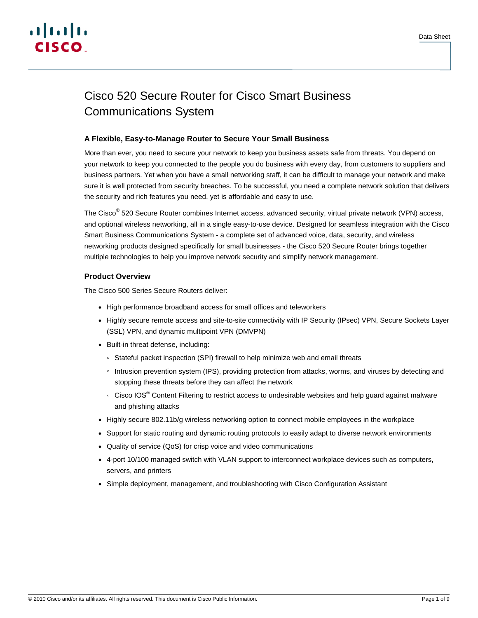# Cisco 520 Secure Router for Cisco Smart Business Communications System

# **A Flexible, Easy-to-Manage Router to Secure Your Small Business**

More than ever, you need to secure your network to keep you business assets safe from threats. You depend on your network to keep you connected to the people you do business with every day, from customers to suppliers and business partners. Yet when you have a small networking staff, it can be difficult to manage your network and make sure it is well protected from security breaches. To be successful, you need a complete network solution that delivers the security and rich features you need, yet is affordable and easy to use.

The Cisco<sup>®</sup> 520 Secure Router combines Internet access, advanced security, virtual private network (VPN) access, and optional wireless networking, all in a single easy-to-use device. Designed for seamless integration with the Cisco Smart Business Communications System - a complete set of advanced voice, data, security, and wireless networking products designed specifically for small businesses - the Cisco 520 Secure Router brings together multiple technologies to help you improve network security and simplify network management.

# **Product Overview**

The Cisco 500 Series Secure Routers deliver:

- High performance broadband access for small offices and teleworkers
- Highly secure remote access and site-to-site connectivity with IP Security (IPsec) VPN, Secure Sockets Layer (SSL) VPN, and dynamic multipoint VPN (DMVPN)
- Built-in threat defense, including:
	- Stateful packet inspection (SPI) firewall to help minimize web and email threats
	- Intrusion prevention system (IPS), providing protection from attacks, worms, and viruses by detecting and stopping these threats before they can affect the network
	- ∘ Cisco IOS<sup>®</sup> Content Filtering to restrict access to undesirable websites and help guard against malware and phishing attacks
- Highly secure 802.11b/g wireless networking option to connect mobile employees in the workplace
- Support for static routing and dynamic routing protocols to easily adapt to diverse network environments
- Quality of service (QoS) for crisp voice and video communications
- 4-port 10/100 managed switch with VLAN support to interconnect workplace devices such as computers, servers, and printers
- Simple deployment, management, and troubleshooting with Cisco Configuration Assistant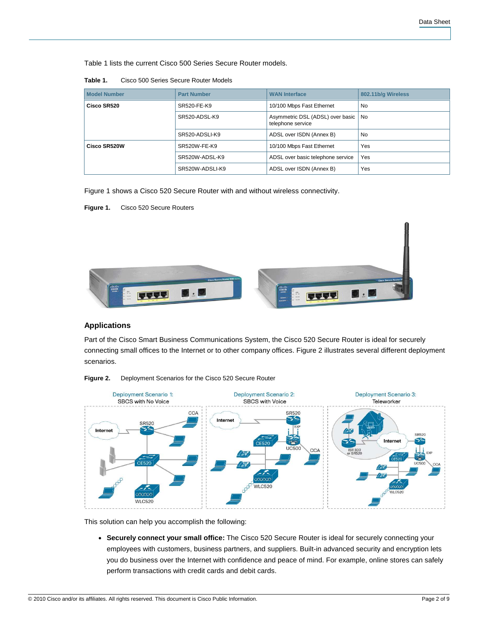Table 1 lists the current Cisco 500 Series Secure Router models.

**Table 1.** Cisco 500 Series Secure Router Models

| <b>Model Number</b> | <b>Part Number</b> | <b>WAN Interface</b>                                  | 802.11b/g Wireless |
|---------------------|--------------------|-------------------------------------------------------|--------------------|
| Cisco SR520         | SR520-FE-K9        | 10/100 Mbps Fast Ethernet                             | <b>No</b>          |
|                     | SR520-ADSL-K9      | Asymmetric DSL (ADSL) over basic<br>telephone service | l No               |
|                     | SR520-ADSLI-K9     | ADSL over ISDN (Annex B)                              | <b>No</b>          |
| Cisco SR520W        | SR520W-FE-K9       | 10/100 Mbps Fast Ethernet                             | Yes                |
|                     | SR520W-ADSL-K9     | ADSL over basic telephone service                     | Yes                |
|                     | SR520W-ADSLI-K9    | ADSL over ISDN (Annex B)                              | Yes                |

Figure 1 shows a Cisco 520 Secure Router with and without wireless connectivity.

**Figure 1.** Cisco 520 Secure Routers



# **Applications**

Part of the Cisco Smart Business Communications System, the Cisco 520 Secure Router is ideal for securely connecting small offices to the Internet or to other company offices. Figure 2 illustrates several different deployment scenarios.



**Figure 2.** Deployment Scenarios for the Cisco 520 Secure Router

This solution can help you accomplish the following:

● **Securely connect your small office:** The Cisco 520 Secure Router is ideal for securely connecting your employees with customers, business partners, and suppliers. Built-in advanced security and encryption lets you do business over the Internet with confidence and peace of mind. For example, online stores can safely perform transactions with credit cards and debit cards.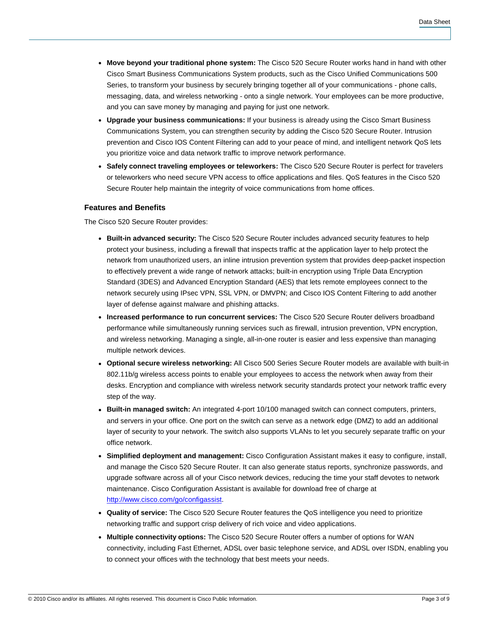- **Move beyond your traditional phone system:** The Cisco 520 Secure Router works hand in hand with other Cisco Smart Business Communications System products, such as the Cisco Unified Communications 500 Series, to transform your business by securely bringing together all of your communications - phone calls, messaging, data, and wireless networking - onto a single network. Your employees can be more productive, and you can save money by managing and paying for just one network.
- **Upgrade your business communications:** If your business is already using the Cisco Smart Business Communications System, you can strengthen security by adding the Cisco 520 Secure Router. Intrusion prevention and Cisco IOS Content Filtering can add to your peace of mind, and intelligent network QoS lets you prioritize voice and data network traffic to improve network performance.
- **Safely connect traveling employees or teleworkers:** The Cisco 520 Secure Router is perfect for travelers or teleworkers who need secure VPN access to office applications and files. QoS features in the Cisco 520 Secure Router help maintain the integrity of voice communications from home offices.

### **Features and Benefits**

The Cisco 520 Secure Router provides:

- **Built-in advanced security:** The Cisco 520 Secure Router includes advanced security features to help protect your business, including a firewall that inspects traffic at the application layer to help protect the network from unauthorized users, an inline intrusion prevention system that provides deep-packet inspection to effectively prevent a wide range of network attacks; built-in encryption using Triple Data Encryption Standard (3DES) and Advanced Encryption Standard (AES) that lets remote employees connect to the network securely using IPsec VPN, SSL VPN, or DMVPN; and Cisco IOS Content Filtering to add another layer of defense against malware and phishing attacks.
- **Increased performance to run concurrent services:** The Cisco 520 Secure Router delivers broadband performance while simultaneously running services such as firewall, intrusion prevention, VPN encryption, and wireless networking. Managing a single, all-in-one router is easier and less expensive than managing multiple network devices.
- **Optional secure wireless networking:** All Cisco 500 Series Secure Router models are available with built-in 802.11b/g wireless access points to enable your employees to access the network when away from their desks. Encryption and compliance with wireless network security standards protect your network traffic every step of the way.
- **Built-in managed switch:** An integrated 4-port 10/100 managed switch can connect computers, printers, and servers in your office. One port on the switch can serve as a network edge (DMZ) to add an additional layer of security to your network. The switch also supports VLANs to let you securely separate traffic on your office network.
- **Simplified deployment and management:** Cisco Configuration Assistant makes it easy to configure, install, and manage the Cisco 520 Secure Router. It can also generate status reports, synchronize passwords, and upgrade software across all of your Cisco network devices, reducing the time your staff devotes to network maintenance. Cisco Configuration Assistant is available for download free of charge at [http://www.cisco.com/go/configassist.](http://www.cisco.com/go/configassist)
- **Quality of service:** The Cisco 520 Secure Router features the QoS intelligence you need to prioritize networking traffic and support crisp delivery of rich voice and video applications.
- **Multiple connectivity options:** The Cisco 520 Secure Router offers a number of options for WAN connectivity, including Fast Ethernet, ADSL over basic telephone service, and ADSL over ISDN, enabling you to connect your offices with the technology that best meets your needs.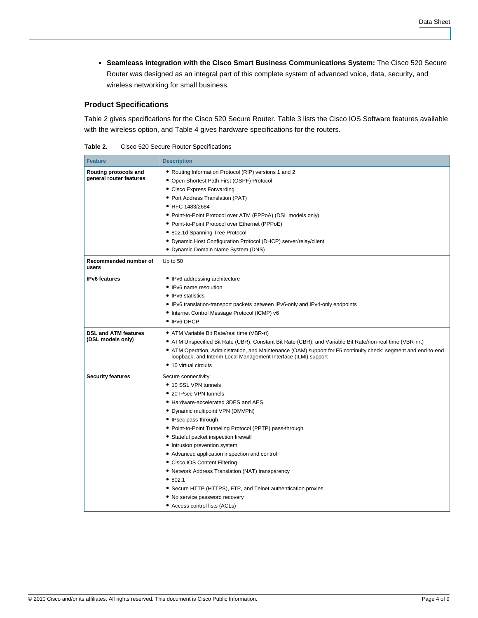● **Seamleass integration with the Cisco Smart Business Communications System:** The Cisco 520 Secure Router was designed as an integral part of this complete system of advanced voice, data, security, and wireless networking for small business.

## **Product Specifications**

Table 2 gives specifications for the Cisco 520 Secure Router. Table 3 lists the Cisco IOS Software features available with the wireless option, and Table 4 gives hardware specifications for the routers.

| Table 2. | Cisco 520 Secure Router Specifications |
|----------|----------------------------------------|
|----------|----------------------------------------|

| <b>Feature</b>                                   | <b>Description</b>                                                                                                                                                                |
|--------------------------------------------------|-----------------------------------------------------------------------------------------------------------------------------------------------------------------------------------|
| Routing protocols and<br>general router features | • Routing Information Protocol (RIP) versions 1 and 2<br>• Open Shortest Path First (OSPF) Protocol                                                                               |
|                                                  | • Cisco Express Forwarding                                                                                                                                                        |
|                                                  | • Port Address Translation (PAT)                                                                                                                                                  |
|                                                  | • RFC 1483/2684                                                                                                                                                                   |
|                                                  | • Point-to-Point Protocol over ATM (PPPoA) (DSL models only)                                                                                                                      |
|                                                  | • Point-to-Point Protocol over Ethernet (PPPoE)                                                                                                                                   |
|                                                  | • 802.1d Spanning Tree Protocol                                                                                                                                                   |
|                                                  | • Dynamic Host Configuration Protocol (DHCP) server/relay/client                                                                                                                  |
|                                                  | • Dynamic Domain Name System (DNS)                                                                                                                                                |
| Recommended number of<br>users                   | Up to 50                                                                                                                                                                          |
| <b>IPv6</b> features                             | • IPv6 addressing architecture                                                                                                                                                    |
|                                                  | • IPv6 name resolution                                                                                                                                                            |
|                                                  | • IPv6 statistics                                                                                                                                                                 |
|                                                  | • IPv6 translation-transport packets between IPv6-only and IPv4-only endpoints                                                                                                    |
|                                                  | · Internet Control Message Protocol (ICMP) v6                                                                                                                                     |
|                                                  | • IPv6 DHCP                                                                                                                                                                       |
| <b>DSL and ATM features</b>                      | • ATM Variable Bit Rate/real time (VBR-rt)                                                                                                                                        |
| (DSL models only)                                | • ATM Unspecified Bit Rate (UBR), Constant Bit Rate (CBR), and Variable Bit Rate/non-real time (VBR-nrt)                                                                          |
|                                                  | • ATM Operation, Administration, and Maintenance (OAM) support for F5 continuity check; segment and end-to-end<br>loopback; and Interim Local Management Interface (ILMI) support |
|                                                  | • 10 virtual circuits                                                                                                                                                             |
| <b>Security features</b>                         | Secure connectivity:                                                                                                                                                              |
|                                                  | • 10 SSL VPN tunnels                                                                                                                                                              |
|                                                  | • 20 IPsec VPN tunnels                                                                                                                                                            |
|                                                  | • Hardware-accelerated 3DES and AES                                                                                                                                               |
|                                                  | • Dynamic multipoint VPN (DMVPN)                                                                                                                                                  |
|                                                  | • IPsec pass-through                                                                                                                                                              |
|                                                  | • Point-to-Point Tunneling Protocol (PPTP) pass-through                                                                                                                           |
|                                                  | • Stateful packet inspection firewall                                                                                                                                             |
|                                                  | • Intrusion prevention system                                                                                                                                                     |
|                                                  | • Advanced application inspection and control                                                                                                                                     |
|                                                  | • Cisco IOS Content Filtering                                                                                                                                                     |
|                                                  | • Network Address Translation (NAT) transparency                                                                                                                                  |
|                                                  | •802.1                                                                                                                                                                            |
|                                                  | • Secure HTTP (HTTPS), FTP, and Telnet authentication proxies                                                                                                                     |
|                                                  | • No service password recovery                                                                                                                                                    |
|                                                  | • Access control lists (ACLs)                                                                                                                                                     |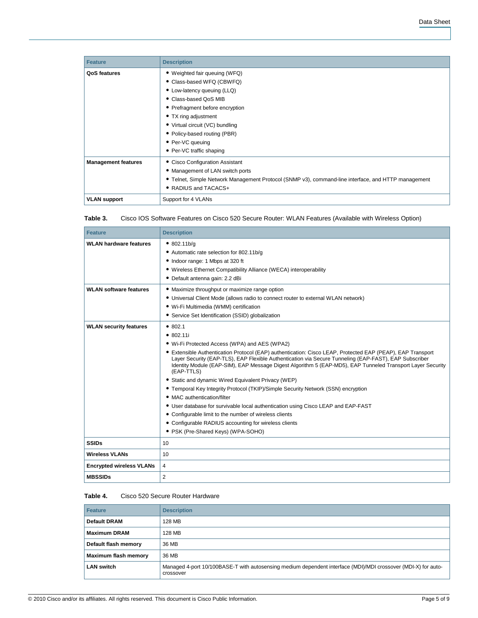| <b>Feature</b>             | <b>Description</b>                                                                                  |
|----------------------------|-----------------------------------------------------------------------------------------------------|
| QoS features               | • Weighted fair queuing (WFQ)                                                                       |
|                            | • Class-based WFQ (CBWFQ)                                                                           |
|                            | • Low-latency queuing (LLQ)                                                                         |
|                            | • Class-based QoS MIB                                                                               |
|                            | • Prefragment before encryption                                                                     |
|                            | • TX ring adjustment                                                                                |
|                            | • Virtual circuit (VC) bundling                                                                     |
|                            | • Policy-based routing (PBR)                                                                        |
|                            | • Per-VC queuing                                                                                    |
|                            | • Per-VC traffic shaping                                                                            |
| <b>Management features</b> | • Cisco Configuration Assistant                                                                     |
|                            | • Management of LAN switch ports                                                                    |
|                            | • Telnet, Simple Network Management Protocol (SNMP v3), command-line interface, and HTTP management |
|                            | • RADIUS and TACACS+                                                                                |
| <b>VLAN support</b>        | Support for 4 VLANs                                                                                 |

| Table 3. | Cisco IOS Software Features on Cisco 520 Secure Router: WLAN Features (Available with Wireless Option) |  |
|----------|--------------------------------------------------------------------------------------------------------|--|
|          |                                                                                                        |  |

| <b>Feature</b>                  | <b>Description</b>                                                                                                                                                                                                                                                                                                                                                                                                                                                                                                                                                                                                                                                                                                                                                                                                                                |
|---------------------------------|---------------------------------------------------------------------------------------------------------------------------------------------------------------------------------------------------------------------------------------------------------------------------------------------------------------------------------------------------------------------------------------------------------------------------------------------------------------------------------------------------------------------------------------------------------------------------------------------------------------------------------------------------------------------------------------------------------------------------------------------------------------------------------------------------------------------------------------------------|
| <b>WLAN hardware features</b>   | • 802.11b/q<br>• Automatic rate selection for 802.11b/g<br>• Indoor range: 1 Mbps at 320 ft<br>• Wireless Ethernet Compatibility Alliance (WECA) interoperability<br>• Default antenna gain: 2.2 dBi                                                                                                                                                                                                                                                                                                                                                                                                                                                                                                                                                                                                                                              |
| <b>WLAN software features</b>   | • Maximize throughput or maximize range option<br>• Universal Client Mode (allows radio to connect router to external WLAN network)<br>• Wi-Fi Multimedia (WMM) certification<br>• Service Set Identification (SSID) globalization                                                                                                                                                                                                                                                                                                                                                                                                                                                                                                                                                                                                                |
| <b>WLAN security features</b>   | • 802.1<br>• 802.11i<br>• Wi-Fi Protected Access (WPA) and AES (WPA2)<br>• Extensible Authentication Protocol (EAP) authentication: Cisco LEAP, Protected EAP (PEAP), EAP Transport<br>Layer Security (EAP-TLS), EAP Flexible Authentication via Secure Tunneling (EAP-FAST), EAP Subscriber<br>Identity Module (EAP-SIM), EAP Message Digest Algorithm 5 (EAP-MD5), EAP Tunneled Transport Layer Security<br>(EAP-TTLS)<br>• Static and dynamic Wired Equivalent Privacy (WEP)<br>• Temporal Key Integrity Protocol (TKIP)/Simple Security Network (SSN) encryption<br>• MAC authentication/filter<br>• User database for survivable local authentication using Cisco LEAP and EAP-FAST<br>• Configurable limit to the number of wireless clients<br>• Configurable RADIUS accounting for wireless clients<br>• PSK (Pre-Shared Keys) (WPA-SOHO) |
| <b>SSIDs</b>                    | 10                                                                                                                                                                                                                                                                                                                                                                                                                                                                                                                                                                                                                                                                                                                                                                                                                                                |
| <b>Wireless VLANs</b>           | 10                                                                                                                                                                                                                                                                                                                                                                                                                                                                                                                                                                                                                                                                                                                                                                                                                                                |
| <b>Encrypted wireless VLANs</b> | 4                                                                                                                                                                                                                                                                                                                                                                                                                                                                                                                                                                                                                                                                                                                                                                                                                                                 |
| <b>MBSSIDs</b>                  | $\overline{2}$                                                                                                                                                                                                                                                                                                                                                                                                                                                                                                                                                                                                                                                                                                                                                                                                                                    |

#### **Table 4.** Cisco 520 Secure Router Hardware

| <b>Feature</b>       | <b>Description</b>                                                                                                         |
|----------------------|----------------------------------------------------------------------------------------------------------------------------|
| <b>Default DRAM</b>  | 128 MB                                                                                                                     |
| <b>Maximum DRAM</b>  | 128 MB                                                                                                                     |
| Default flash memory | 36 MB                                                                                                                      |
| Maximum flash memory | 36 MB                                                                                                                      |
| <b>LAN switch</b>    | Managed 4-port 10/100BASE-T with autosensing medium dependent interface (MDI)/MDI crossover (MDI-X) for auto-<br>crossover |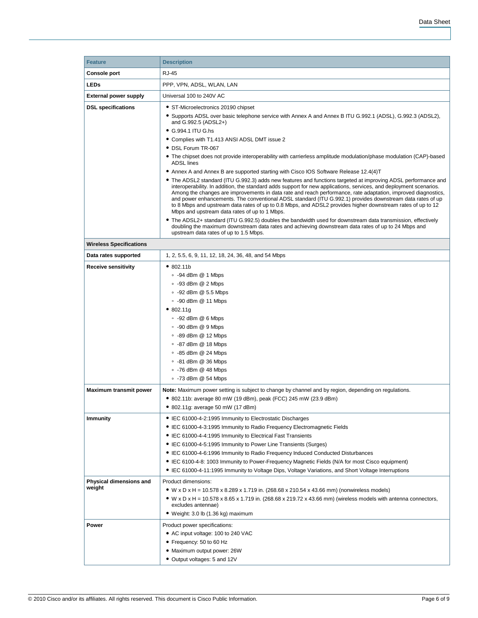| <b>Feature</b>                 | <b>Description</b>                                                                                                                                                                                                         |  |  |
|--------------------------------|----------------------------------------------------------------------------------------------------------------------------------------------------------------------------------------------------------------------------|--|--|
| <b>Console port</b>            | RJ-45                                                                                                                                                                                                                      |  |  |
| <b>LEDs</b>                    | PPP, VPN, ADSL, WLAN, LAN                                                                                                                                                                                                  |  |  |
| <b>External power supply</b>   | Universal 100 to 240V AC                                                                                                                                                                                                   |  |  |
|                                | • ST-Microelectronics 20190 chipset                                                                                                                                                                                        |  |  |
| <b>DSL specifications</b>      | • Supports ADSL over basic telephone service with Annex A and Annex B ITU G.992.1 (ADSL), G.992.3 (ADSL2),                                                                                                                 |  |  |
|                                | and G.992.5 (ADSL2+)                                                                                                                                                                                                       |  |  |
|                                | • G.994.1 ITU G.hs                                                                                                                                                                                                         |  |  |
|                                | • Complies with T1.413 ANSI ADSL DMT issue 2                                                                                                                                                                               |  |  |
|                                | • DSL Forum TR-067                                                                                                                                                                                                         |  |  |
|                                | • The chipset does not provide interoperability with carrierless amplitude modulation/phase modulation (CAP)-based<br><b>ADSL</b> lines                                                                                    |  |  |
|                                | • Annex A and Annex B are supported starting with Cisco IOS Software Release 12.4(4)T                                                                                                                                      |  |  |
|                                | • The ADSL2 standard (ITU G.992.3) adds new features and functions targeted at improving ADSL performance and                                                                                                              |  |  |
|                                | interoperability. In addition, the standard adds support for new applications, services, and deployment scenarios.                                                                                                         |  |  |
|                                | Among the changes are improvements in data rate and reach performance, rate adaptation, improved diagnostics,<br>and power enhancements. The conventional ADSL standard (ITU G.992.1) provides downstream data rates of up |  |  |
|                                | to 8 Mbps and upstream data rates of up to 0.8 Mbps, and ADSL2 provides higher downstream rates of up to 12                                                                                                                |  |  |
|                                | Mbps and upstream data rates of up to 1 Mbps.<br>• The ADSL2+ standard (ITU G.992.5) doubles the bandwidth used for downstream data transmission, effectively                                                              |  |  |
|                                | doubling the maximum downstream data rates and achieving downstream data rates of up to 24 Mbps and                                                                                                                        |  |  |
|                                | upstream data rates of up to 1.5 Mbps.                                                                                                                                                                                     |  |  |
| <b>Wireless Specifications</b> |                                                                                                                                                                                                                            |  |  |
| Data rates supported           | 1, 2, 5.5, 6, 9, 11, 12, 18, 24, 36, 48, and 54 Mbps                                                                                                                                                                       |  |  |
| <b>Receive sensitivity</b>     | • 802.11b                                                                                                                                                                                                                  |  |  |
|                                | $\degree$ -94 dBm @ 1 Mbps                                                                                                                                                                                                 |  |  |
|                                | $\cdot$ -93 dBm @ 2 Mbps                                                                                                                                                                                                   |  |  |
|                                | $\degree$ -92 dBm @ 5.5 Mbps                                                                                                                                                                                               |  |  |
|                                | $\degree$ -90 dBm @ 11 Mbps                                                                                                                                                                                                |  |  |
|                                | • 802.11g                                                                                                                                                                                                                  |  |  |
|                                | $\cdot$ -92 dBm @ 6 Mbps                                                                                                                                                                                                   |  |  |
|                                | $\degree$ -90 dBm @ 9 Mbps                                                                                                                                                                                                 |  |  |
|                                | $\degree$ -89 dBm @ 12 Mbps<br>$\degree$ -87 dBm @ 18 Mbps                                                                                                                                                                 |  |  |
|                                | $\degree$ -85 dBm @ 24 Mbps                                                                                                                                                                                                |  |  |
|                                | $\degree$ -81 dBm @ 36 Mbps                                                                                                                                                                                                |  |  |
|                                | $\degree$ -76 dBm @ 48 Mbps                                                                                                                                                                                                |  |  |
|                                | $\degree$ -73 dBm @ 54 Mbps                                                                                                                                                                                                |  |  |
| <b>Maximum transmit power</b>  | Note: Maximum power setting is subject to change by channel and by region, depending on regulations.                                                                                                                       |  |  |
|                                | • 802.11b: average 80 mW (19 dBm), peak (FCC) 245 mW (23.9 dBm)                                                                                                                                                            |  |  |
|                                | $\bullet$ 802.11g: average 50 mW (17 dBm)                                                                                                                                                                                  |  |  |
| <b>Immunity</b>                | • IEC 61000-4-2:1995 Immunity to Electrostatic Discharges                                                                                                                                                                  |  |  |
|                                | • IEC 61000-4-3:1995 Immunity to Radio Frequency Electromagnetic Fields                                                                                                                                                    |  |  |
|                                | • IEC 61000-4-4:1995 Immunity to Electrical Fast Transients                                                                                                                                                                |  |  |
|                                | • IEC 61000-4-5:1995 Immunity to Power Line Transients (Surges)                                                                                                                                                            |  |  |
|                                | • IEC 61000-4-6:1996 Immunity to Radio Frequency Induced Conducted Disturbances                                                                                                                                            |  |  |
|                                | • IEC 6100-4-8: 1003 Immunity to Power-Frequency Magnetic Fields (N/A for most Cisco equipment)                                                                                                                            |  |  |
|                                | • IEC 61000-4-11:1995 Immunity to Voltage Dips, Voltage Variations, and Short Voltage Interruptions                                                                                                                        |  |  |
| Physical dimensions and        | Product dimensions:                                                                                                                                                                                                        |  |  |
| weight                         | • W x D x H = 10.578 x 8.289 x 1.719 in. (268.68 x 210.54 x 43.66 mm) (nonwireless models)                                                                                                                                 |  |  |
|                                | • W x D x H = 10.578 x 8.65 x 1.719 in. (268.68 x 219.72 x 43.66 mm) (wireless models with antenna connectors,<br>excludes antennae)                                                                                       |  |  |
|                                | • Weight: 3.0 lb (1.36 kg) maximum                                                                                                                                                                                         |  |  |
|                                |                                                                                                                                                                                                                            |  |  |
| Power                          | Product power specifications:<br>• AC input voltage: 100 to 240 VAC                                                                                                                                                        |  |  |
|                                | • Frequency: 50 to 60 Hz                                                                                                                                                                                                   |  |  |
|                                | · Maximum output power: 26W                                                                                                                                                                                                |  |  |
|                                | • Output voltages: 5 and 12V                                                                                                                                                                                               |  |  |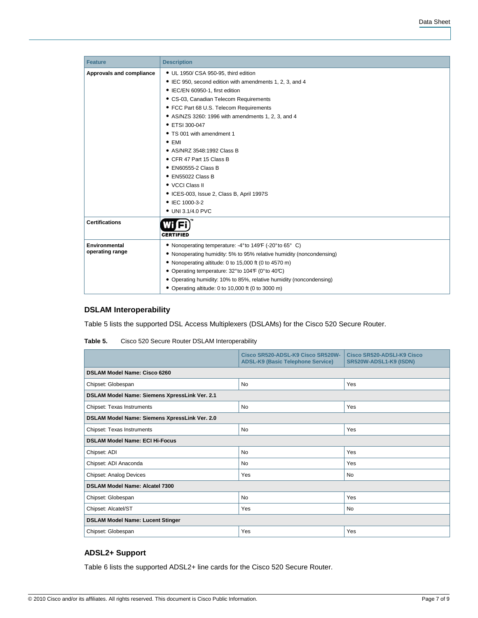| <b>Feature</b>           | <b>Description</b>                                                   |
|--------------------------|----------------------------------------------------------------------|
| Approvals and compliance | • UL 1950/ CSA 950-95, third edition                                 |
|                          | • IEC 950, second edition with amendments 1, 2, 3, and 4             |
|                          | • IEC/EN 60950-1, first edition                                      |
|                          | • CS-03, Canadian Telecom Requirements                               |
|                          | • FCC Part 68 U.S. Telecom Requirements                              |
|                          | • AS/NZS 3260: 1996 with amendments 1, 2, 3, and 4                   |
|                          | • ETSI 300-047                                                       |
|                          | • TS 001 with amendment 1                                            |
|                          | $\bullet$ EMI                                                        |
|                          | • AS/NRZ 3548:1992 Class B                                           |
|                          | • CFR 47 Part 15 Class B                                             |
|                          | • EN60555-2 Class B                                                  |
|                          | $\bullet$ EN55022 Class B                                            |
|                          | • VCCI Class II                                                      |
|                          | • ICES-003, Issue 2, Class B, April 1997S                            |
|                          | • IEC 1000-3-2                                                       |
|                          | • UNI 3.1/4.0 PVC                                                    |
| <b>Certifications</b>    |                                                                      |
|                          | <b>CERTIFIED</b>                                                     |
| <b>Environmental</b>     | • Nonoperating temperature: -4° to 149° (-20° to 65° C)              |
| operating range          | • Nonoperating humidity: 5% to 95% relative humidity (noncondensing) |
|                          | • Nonoperating altitude: 0 to 15,000 ft (0 to 4570 m)                |
|                          | • Operating temperature: 32° to 104F (0° to 40°C)                    |
|                          | • Operating humidity: 10% to 85%, relative humidity (noncondensing)  |
|                          | • Operating altitude: 0 to 10,000 ft (0 to 3000 m)                   |

# **DSLAM Interoperability**

Table 5 lists the supported DSL Access Multiplexers (DSLAMs) for the Cisco 520 Secure Router.

|                                                | Cisco SR520-ADSL-K9 Cisco SR520W-<br><b>ADSL-K9 (Basic Telephone Service)</b> | Cisco SR520-ADSLI-K9 Cisco<br>SR520W-ADSL1-K9 (ISDN) |  |  |  |
|------------------------------------------------|-------------------------------------------------------------------------------|------------------------------------------------------|--|--|--|
| <b>DSLAM Model Name: Cisco 6260</b>            |                                                                               |                                                      |  |  |  |
| Chipset: Globespan                             | No<br>Yes                                                                     |                                                      |  |  |  |
| DSLAM Model Name: Siemens XpressLink Ver. 2.1  |                                                                               |                                                      |  |  |  |
| Yes<br>No<br>Chipset: Texas Instruments        |                                                                               |                                                      |  |  |  |
| DSLAM Model Name: Siemens XpressLink Ver. 2.0  |                                                                               |                                                      |  |  |  |
| Chipset: Texas Instruments<br><b>No</b><br>Yes |                                                                               |                                                      |  |  |  |
| <b>DSLAM Model Name: ECI Hi-Focus</b>          |                                                                               |                                                      |  |  |  |
| Chipset: ADI                                   | No                                                                            | Yes                                                  |  |  |  |
| Chipset: ADI Anaconda                          | <b>No</b>                                                                     | Yes                                                  |  |  |  |
| <b>Chipset: Analog Devices</b>                 | Yes                                                                           | <b>No</b>                                            |  |  |  |
| DSLAM Model Name: Alcatel 7300                 |                                                                               |                                                      |  |  |  |
| Chipset: Globespan                             | No                                                                            | Yes                                                  |  |  |  |
| Chipset: Alcatel/ST<br>No<br>Yes               |                                                                               |                                                      |  |  |  |
| <b>DSLAM Model Name: Lucent Stinger</b>        |                                                                               |                                                      |  |  |  |
| Chipset: Globespan                             | Yes                                                                           | Yes                                                  |  |  |  |

| Table 5. | Cisco 520 Secure Router DSLAM Interoperability |
|----------|------------------------------------------------|
|----------|------------------------------------------------|

# **ADSL2+ Support**

Table 6 lists the supported ADSL2+ line cards for the Cisco 520 Secure Router.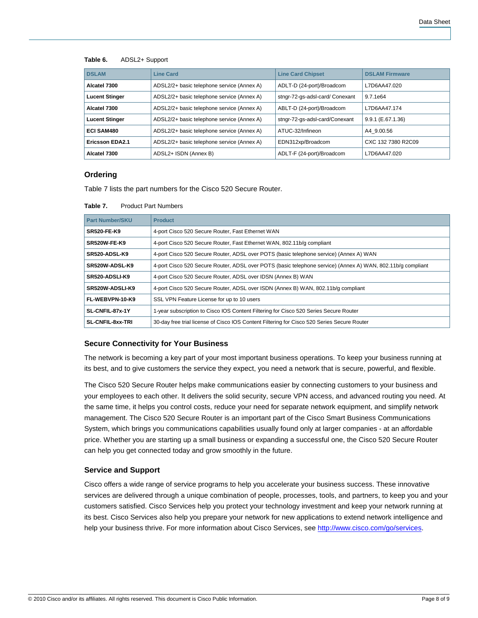#### **Table 6.** ADSL2+ Support

| <b>DSLAM</b>           | <b>Line Card</b>                           | <b>Line Card Chipset</b>        | <b>DSLAM Firmware</b> |
|------------------------|--------------------------------------------|---------------------------------|-----------------------|
| Alcatel 7300           | ADSL2/2+ basic telephone service (Annex A) | ADLT-D (24-port)/Broadcom       | L7D6AA47.020          |
| <b>Lucent Stinger</b>  | ADSL2/2+ basic telephone service (Annex A) | stngr-72-gs-adsl-card/ Conexant | 9.7.1e <sub>64</sub>  |
| Alcatel 7300           | ADSL2/2+ basic telephone service (Annex A) | ABLT-D (24-port)/Broadcom       | L7D6AA47.174          |
| <b>Lucent Stinger</b>  | ADSL2/2+ basic telephone service (Annex A) | stngr-72-gs-adsl-card/Conexant  | 9.9.1 (E.67.1.36)     |
| <b>ECI SAM480</b>      | ADSL2/2+ basic telephone service (Annex A) | ATUC-32/Infineon                | A4 9.00.56            |
| <b>Ericsson EDA2.1</b> | ADSL2/2+ basic telephone service (Annex A) | EDN312xp/Broadcom               | CXC 132 7380 R2C09    |
| Alcatel 7300           | ADSL2+ ISDN (Annex B)                      | ADLT-F (24-port)/Broadcom       | L7D6AA47.020          |

### **Ordering**

Table 7 lists the part numbers for the Cisco 520 Secure Router.

| <b>Product Part Numbers</b><br>Table 7. |
|-----------------------------------------|
|-----------------------------------------|

| <b>Part Number/SKU</b>  | <b>Product</b>                                                                                              |
|-------------------------|-------------------------------------------------------------------------------------------------------------|
| <b>SR520-FE-K9</b>      | 4-port Cisco 520 Secure Router, Fast Ethernet WAN                                                           |
| <b>SR520W-FE-K9</b>     | 4-port Cisco 520 Secure Router, Fast Ethernet WAN, 802.11b/g compliant                                      |
| SR520-ADSL-K9           | 4-port Cisco 520 Secure Router, ADSL over POTS (basic telephone service) (Annex A) WAN                      |
| SR520W-ADSL-K9          | 4-port Cisco 520 Secure Router, ADSL over POTS (basic telephone service) (Annex A) WAN, 802.11b/q compliant |
| SR520-ADSLI-K9          | 4-port Cisco 520 Secure Router, ADSL over IDSN (Annex B) WAN                                                |
| SR520W-ADSLI-K9         | 4-port Cisco 520 Secure Router, ADSL over ISDN (Annex B) WAN, 802.11b/q compliant                           |
| FL-WEBVPN-10-K9         | SSL VPN Feature License for up to 10 users                                                                  |
| SL-CNFIL-87x-1Y         | 1-year subscription to Cisco IOS Content Filtering for Cisco 520 Series Secure Router                       |
| <b>SL-CNFIL-8xx-TRI</b> | 30-day free trial license of Cisco IOS Content Filtering for Cisco 520 Series Secure Router                 |

## **Secure Connectivity for Your Business**

The network is becoming a key part of your most important business operations. To keep your business running at its best, and to give customers the service they expect, you need a network that is secure, powerful, and flexible.

The Cisco 520 Secure Router helps make communications easier by connecting customers to your business and your employees to each other. It delivers the solid security, secure VPN access, and advanced routing you need. At the same time, it helps you control costs, reduce your need for separate network equipment, and simplify network management. The Cisco 520 Secure Router is an important part of the Cisco Smart Business Communications System, which brings you communications capabilities usually found only at larger companies - at an affordable price. Whether you are starting up a small business or expanding a successful one, the Cisco 520 Secure Router can help you get connected today and grow smoothly in the future.

#### **Service and Support**

Cisco offers a wide range of service programs to help you accelerate your business success. These innovative services are delivered through a unique combination of people, processes, tools, and partners, to keep you and your customers satisfied. Cisco Services help you protect your technology investment and keep your network running at its best. Cisco Services also help you prepare your network for new applications to extend network intelligence and help your business thrive. For more information about Cisco Services, see [http://www.cisco.com/go/services.](http://www.cisco.com/go/services)